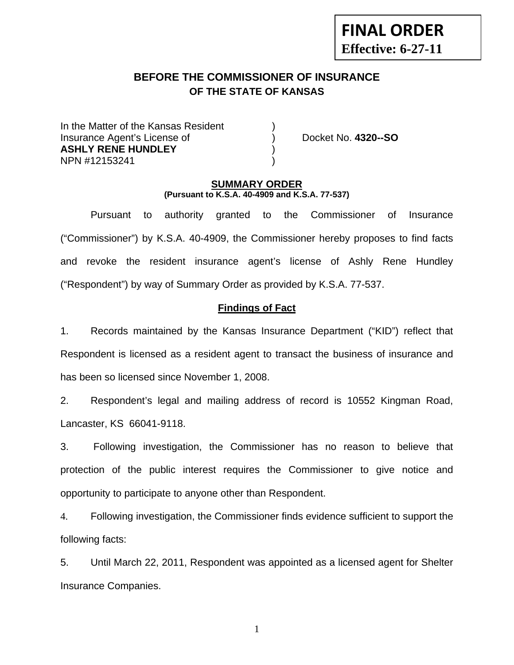# **FINAL ORDER Effective: 6-27-11**

# **BEFORE THE COMMISSIONER OF INSURANCE OF THE STATE OF KANSAS**

In the Matter of the Kansas Resident Insurance Agent's License of ) Docket No. **4320--SO ASHLY RENE HUNDLEY** ) NPN #12153241 )

## **SUMMARY ORDER (Pursuant to K.S.A. 40-4909 and K.S.A. 77-537)**

 Pursuant to authority granted to the Commissioner of Insurance ("Commissioner") by K.S.A. 40-4909, the Commissioner hereby proposes to find facts and revoke the resident insurance agent's license of Ashly Rene Hundley ("Respondent") by way of Summary Order as provided by K.S.A. 77-537.

## **Findings of Fact**

1. Records maintained by the Kansas Insurance Department ("KID") reflect that Respondent is licensed as a resident agent to transact the business of insurance and has been so licensed since November 1, 2008.

2. Respondent's legal and mailing address of record is 10552 Kingman Road, Lancaster, KS 66041-9118.

3. Following investigation, the Commissioner has no reason to believe that protection of the public interest requires the Commissioner to give notice and opportunity to participate to anyone other than Respondent.

4. Following investigation, the Commissioner finds evidence sufficient to support the following facts:

5. Until March 22, 2011, Respondent was appointed as a licensed agent for Shelter Insurance Companies.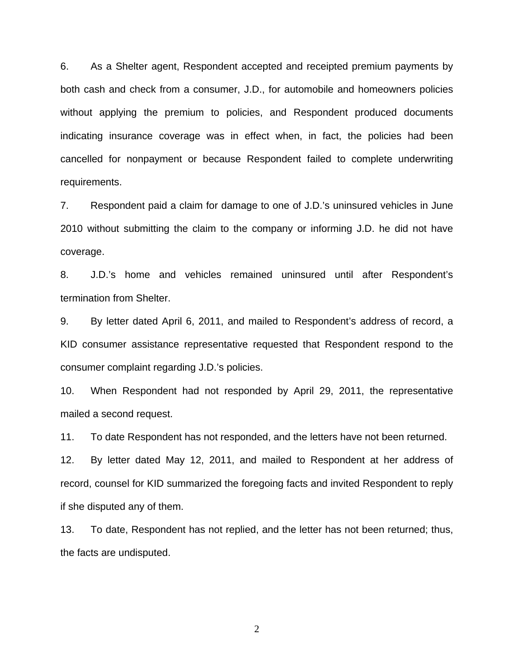6. As a Shelter agent, Respondent accepted and receipted premium payments by both cash and check from a consumer, J.D., for automobile and homeowners policies without applying the premium to policies, and Respondent produced documents indicating insurance coverage was in effect when, in fact, the policies had been cancelled for nonpayment or because Respondent failed to complete underwriting requirements.

7. Respondent paid a claim for damage to one of J.D.'s uninsured vehicles in June 2010 without submitting the claim to the company or informing J.D. he did not have coverage.

8. J.D.'s home and vehicles remained uninsured until after Respondent's termination from Shelter.

9. By letter dated April 6, 2011, and mailed to Respondent's address of record, a KID consumer assistance representative requested that Respondent respond to the consumer complaint regarding J.D.'s policies.

10. When Respondent had not responded by April 29, 2011, the representative mailed a second request.

11. To date Respondent has not responded, and the letters have not been returned.

12. By letter dated May 12, 2011, and mailed to Respondent at her address of record, counsel for KID summarized the foregoing facts and invited Respondent to reply if she disputed any of them.

13. To date, Respondent has not replied, and the letter has not been returned; thus, the facts are undisputed.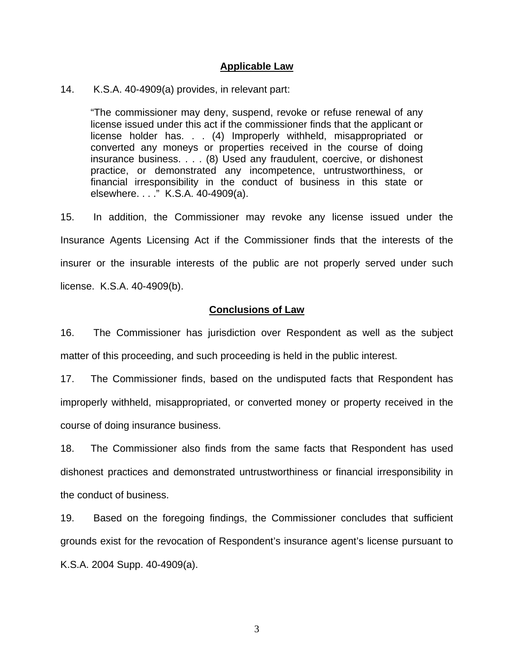#### **Applicable Law**

#### 14. K.S.A. 40-4909(a) provides, in relevant part:

"The commissioner may deny, suspend, revoke or refuse renewal of any license issued under this act if the commissioner finds that the applicant or license holder has. . . (4) Improperly withheld, misappropriated or converted any moneys or properties received in the course of doing insurance business. . . . (8) Used any fraudulent, coercive, or dishonest practice, or demonstrated any incompetence, untrustworthiness, or financial irresponsibility in the conduct of business in this state or elsewhere. . . ." K.S.A. 40-4909(a).

15. In addition, the Commissioner may revoke any license issued under the Insurance Agents Licensing Act if the Commissioner finds that the interests of the insurer or the insurable interests of the public are not properly served under such license. K.S.A. 40-4909(b).

#### **Conclusions of Law**

16. The Commissioner has jurisdiction over Respondent as well as the subject matter of this proceeding, and such proceeding is held in the public interest.

17. The Commissioner finds, based on the undisputed facts that Respondent has improperly withheld, misappropriated, or converted money or property received in the course of doing insurance business.

18. The Commissioner also finds from the same facts that Respondent has used dishonest practices and demonstrated untrustworthiness or financial irresponsibility in the conduct of business.

19. Based on the foregoing findings, the Commissioner concludes that sufficient grounds exist for the revocation of Respondent's insurance agent's license pursuant to K.S.A. 2004 Supp. 40-4909(a).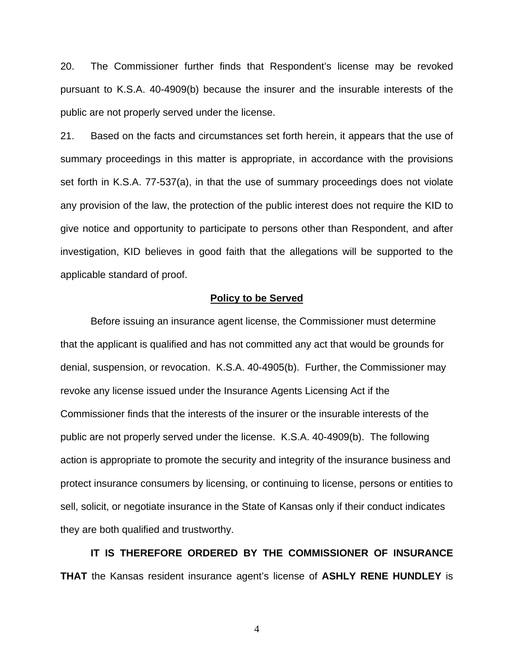20. The Commissioner further finds that Respondent's license may be revoked pursuant to K.S.A. 40-4909(b) because the insurer and the insurable interests of the public are not properly served under the license.

21. Based on the facts and circumstances set forth herein, it appears that the use of summary proceedings in this matter is appropriate, in accordance with the provisions set forth in K.S.A. 77-537(a), in that the use of summary proceedings does not violate any provision of the law, the protection of the public interest does not require the KID to give notice and opportunity to participate to persons other than Respondent, and after investigation, KID believes in good faith that the allegations will be supported to the applicable standard of proof.

#### **Policy to be Served**

 Before issuing an insurance agent license, the Commissioner must determine that the applicant is qualified and has not committed any act that would be grounds for denial, suspension, or revocation. K.S.A. 40-4905(b). Further, the Commissioner may revoke any license issued under the Insurance Agents Licensing Act if the Commissioner finds that the interests of the insurer or the insurable interests of the public are not properly served under the license. K.S.A. 40-4909(b). The following action is appropriate to promote the security and integrity of the insurance business and protect insurance consumers by licensing, or continuing to license, persons or entities to sell, solicit, or negotiate insurance in the State of Kansas only if their conduct indicates they are both qualified and trustworthy.

 **IT IS THEREFORE ORDERED BY THE COMMISSIONER OF INSURANCE THAT** the Kansas resident insurance agent's license of **ASHLY RENE HUNDLEY** is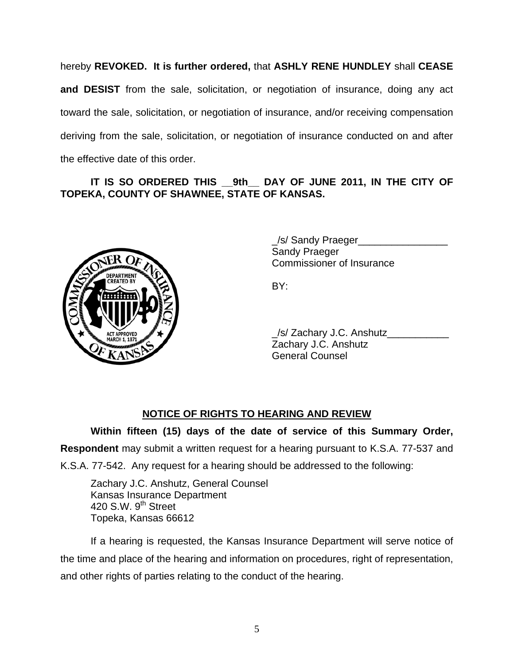hereby **REVOKED. It is further ordered,** that **ASHLY RENE HUNDLEY** shall **CEASE and DESIST** from the sale, solicitation, or negotiation of insurance, doing any act toward the sale, solicitation, or negotiation of insurance, and/or receiving compensation deriving from the sale, solicitation, or negotiation of insurance conducted on and after the effective date of this order.

## **IT IS SO ORDERED THIS \_\_9th\_\_ DAY OF JUNE 2011, IN THE CITY OF TOPEKA, COUNTY OF SHAWNEE, STATE OF KANSAS.**



/s/ Sandy Praeger Sandy Praeger Commissioner of Insurance

 \_/s/ Zachary J.C. Anshutz\_\_\_\_\_\_\_\_\_\_\_ Zachary J.C. Anshutz General Counsel

## **NOTICE OF RIGHTS TO HEARING AND REVIEW**

**Within fifteen (15) days of the date of service of this Summary Order, Respondent** may submit a written request for a hearing pursuant to K.S.A. 77-537 and

K.S.A. 77-542. Any request for a hearing should be addressed to the following:

 Zachary J.C. Anshutz, General Counsel Kansas Insurance Department 420 S.W. 9<sup>th</sup> Street Topeka, Kansas 66612

If a hearing is requested, the Kansas Insurance Department will serve notice of the time and place of the hearing and information on procedures, right of representation, and other rights of parties relating to the conduct of the hearing.